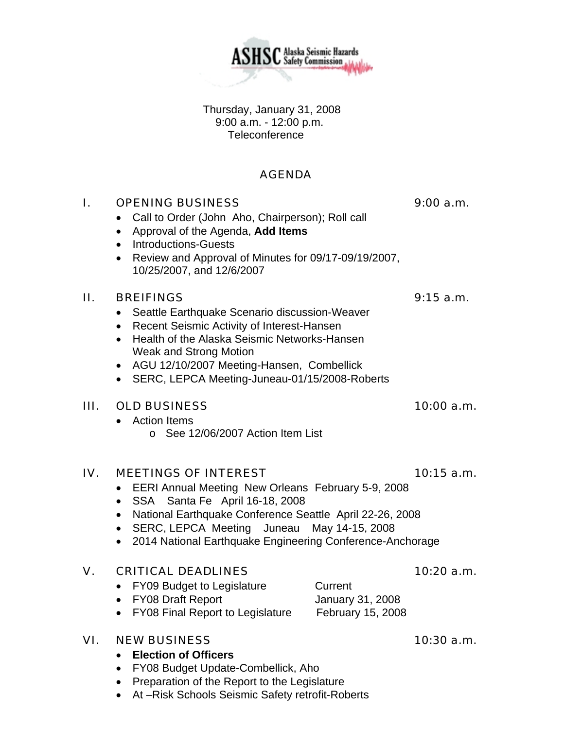Thursday, January 31, 2008 9:00 a.m. - 12:00 p.m. **Teleconference** 

# AGENDA

# I. OPENING BUSINESS 9:00 a.m.

- Call to Order (John Aho, Chairperson); Roll call
- Approval of the Agenda, **Add Items**
- Introductions-Guests
- Review and Approval of Minutes for 09/17-09/19/2007, 10/25/2007, and 12/6/2007

## II. BREIFINGS 9:15 a.m.

- Seattle Earthquake Scenario discussion-Weaver
- Recent Seismic Activity of Interest-Hansen
- Health of the Alaska Seismic Networks-Hansen Weak and Strong Motion
- AGU 12/10/2007 Meeting-Hansen, Combellick
- SERC, LEPCA Meeting-Juneau-01/15/2008-Roberts

## III. OLD BUSINESS 10:00 a.m.

- Action Items
	- o See 12/06/2007 Action Item List

### IV. MEETINGS OF INTEREST 10:15 a.m.

- EERI Annual Meeting New Orleans February 5-9, 2008
- SSA Santa Fe April 16-18, 2008
- National Earthquake Conference Seattle April 22-26, 2008
- SERC, LEPCA Meeting Juneau May 14-15, 2008
- 2014 National Earthquake Engineering Conference-Anchorage

## V. CRITICAL DEADLINES 10:20 a.m.

- FY09 Budget to Legislature Current
- FY08 Draft Report January 31, 2008
- FY08 Final Report to Legislature February 15, 2008

## VI. NEW BUSINESS 10:30 a.m.

### • **Election of Officers**

- FY08 Budget Update-Combellick, Aho
- Preparation of the Report to the Legislature
- At –Risk Schools Seismic Safety retrofit-Roberts

**ASHSC** Alaska Seismic Hazards